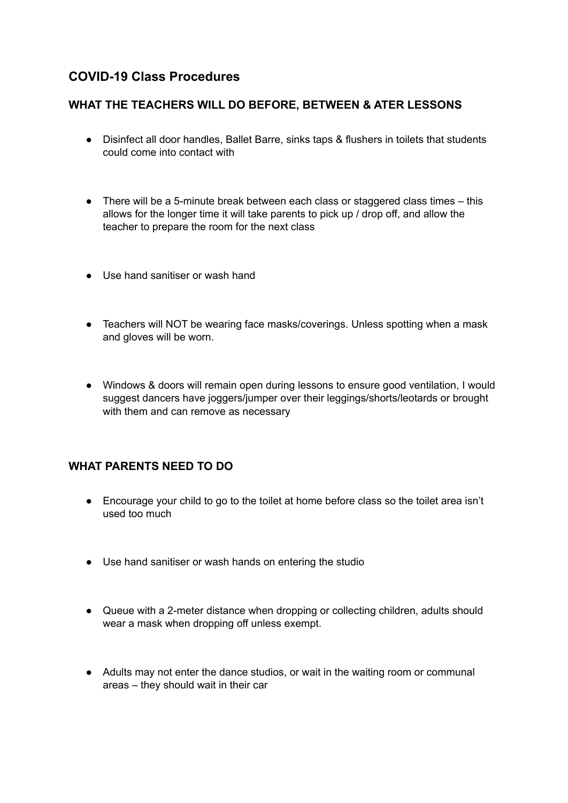## **COVID-19 Class Procedures**

## **WHAT THE TEACHERS WILL DO BEFORE, BETWEEN & ATER LESSONS**

- Disinfect all door handles, Ballet Barre, sinks taps & flushers in toilets that students could come into contact with
- There will be a 5-minute break between each class or staggered class times this allows for the longer time it will take parents to pick up / drop off, and allow the teacher to prepare the room for the next class
- Use hand sanitiser or wash hand
- Teachers will NOT be wearing face masks/coverings. Unless spotting when a mask and gloves will be worn.
- Windows & doors will remain open during lessons to ensure good ventilation, I would suggest dancers have joggers/jumper over their leggings/shorts/leotards or brought with them and can remove as necessary

## **WHAT PARENTS NEED TO DO**

- Encourage your child to go to the toilet at home before class so the toilet area isn't used too much
- Use hand sanitiser or wash hands on entering the studio
- Queue with a 2-meter distance when dropping or collecting children, adults should wear a mask when dropping off unless exempt.
- Adults may not enter the dance studios, or wait in the waiting room or communal areas – they should wait in their car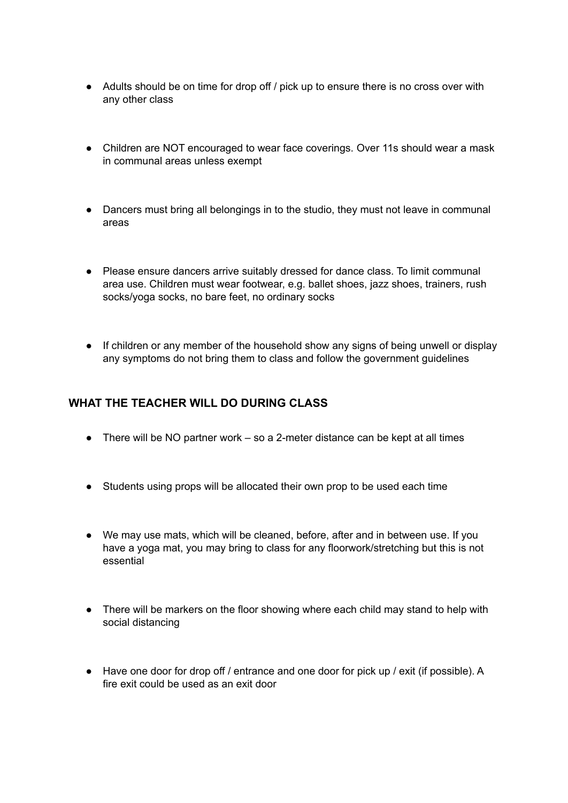- Adults should be on time for drop off / pick up to ensure there is no cross over with any other class
- Children are NOT encouraged to wear face coverings. Over 11s should wear a mask in communal areas unless exempt
- Dancers must bring all belongings in to the studio, they must not leave in communal areas
- Please ensure dancers arrive suitably dressed for dance class. To limit communal area use. Children must wear footwear, e.g. ballet shoes, jazz shoes, trainers, rush socks/yoga socks, no bare feet, no ordinary socks
- If children or any member of the household show any signs of being unwell or display any symptoms do not bring them to class and follow the government guidelines

## **WHAT THE TEACHER WILL DO DURING CLASS**

- $\bullet$  There will be NO partner work so a 2-meter distance can be kept at all times
- Students using props will be allocated their own prop to be used each time
- We may use mats, which will be cleaned, before, after and in between use. If you have a yoga mat, you may bring to class for any floorwork/stretching but this is not essential
- There will be markers on the floor showing where each child may stand to help with social distancing
- Have one door for drop off / entrance and one door for pick up / exit (if possible). A fire exit could be used as an exit door